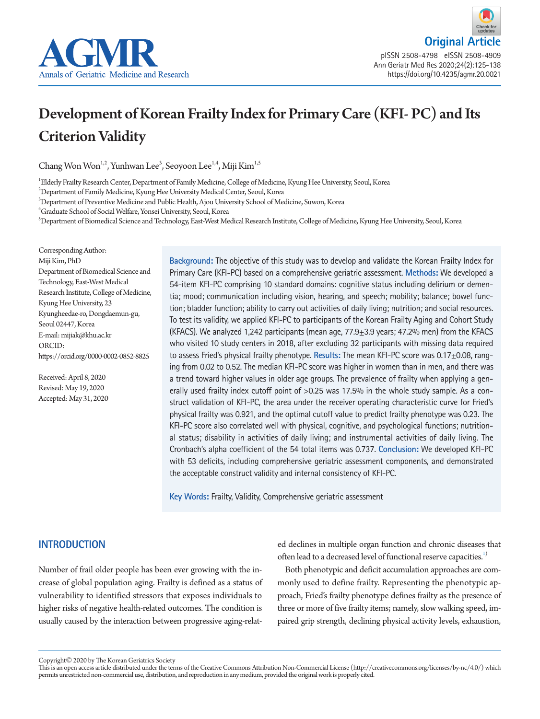

# Development of Korean Frailty Index for Primary Care (KFI- PC) and Its Criterion Validity

Chang Won Won<sup>1,2</sup>, Yunhwan Lee<sup>3</sup>, Seoyoon Lee<sup>1,4</sup>, Miji Kim<sup>1,5</sup>

1 Elderly Frailty Research Center, Department of Family Medicine, College of Medicine, Kyung Hee University, Seoul, Korea

 $^{2}$ Department of Family Medicine, Kyung Hee University Medical Center, Seoul, Korea

 $^3$ Department of Preventive Medicine and Public Health, Ajou University School of Medicine, Suwon, Korea

4 Graduate School of Social Welfare, Yonsei University, Seoul, Korea

5 Department of Biomedical Science and Technology, East-West Medical Research Institute, College of Medicine, Kyung Hee University, Seoul, Korea

Corresponding Author: Miji Kim, PhD Department of Biomedical Science and Technology, East-West Medical Research Institute, College of Medicine, Kyung Hee University, 23 Kyungheedae-ro, Dongdaemun-gu, Seoul 02447, Korea E-mail: mijiak@khu.ac.kr ORCID: https://orcid.org/0000-0002-0852-8825

Received: April 8, 2020 Revised: May 19, 2020 Accepted: May 31, 2020 **Background:** The objective of this study was to develop and validate the Korean Frailty Index for Primary Care (KFI-PC) based on a comprehensive geriatric assessment. **Methods:** We developed a 54-item KFI-PC comprising 10 standard domains: cognitive status including delirium or dementia; mood; communication including vision, hearing, and speech; mobility; balance; bowel function; bladder function; ability to carry out activities of daily living; nutrition; and social resources. To test its validity, we applied KFI-PC to participants of the Korean Frailty Aging and Cohort Study (KFACS). We analyzed 1,242 participants (mean age,  $77.9\pm3.9$  years; 47.2% men) from the KFACS who visited 10 study centers in 2018, after excluding 32 participants with missing data required to assess Fried's physical frailty phenotype. **Results:** The mean KFI-PC score was 0.17±0.08, ranging from 0.02 to 0.52. The median KFI-PC score was higher in women than in men, and there was a trend toward higher values in older age groups. The prevalence of frailty when applying a generally used frailty index cutoff point of >0.25 was 17.5% in the whole study sample. As a construct validation of KFI-PC, the area under the receiver operating characteristic curve for Fried's physical frailty was 0.921, and the optimal cutoff value to predict frailty phenotype was 0.23. The KFI-PC score also correlated well with physical, cognitive, and psychological functions; nutritional status; disability in activities of daily living; and instrumental activities of daily living. The Cronbach's alpha coefficient of the 54 total items was 0.737. **Conclusion:** We developed KFI-PC with 53 deficits, including comprehensive geriatric assessment components, and demonstrated the acceptable construct validity and internal consistency of KFI-PC.

**Key Words:** Frailty, Validity, Comprehensive geriatric assessment

# **INTRODUCTION**

Number of frail older people has been ever growing with the increase of global population aging. Frailty is defined as a status of vulnerability to identified stressors that exposes individuals to higher risks of negative health-related outcomes. The condition is usually caused by the interaction between progressive aging-relat-

ed declines in multiple organ function and chronic diseases that often lead to a decreased level of functional reserve capacities.<sup>[1](#page-12-0))</sup>

Both phenotypic and deficit accumulation approaches are commonly used to define frailty. Representing the phenotypic approach, Fried's frailty phenotype defines frailty as the presence of three or more of five frailty items; namely, slow walking speed, impaired grip strength, declining physical activity levels, exhaustion,

Copyright© 2020 by The Korean Geriatrics Society

This is an open access article distributed under the terms of the Creative Commons Attribution Non-Commercial License (http://creativecommons.org/licenses/by-nc/4.0/) which permits unrestricted non-commercial use, distribution, and reproduction in any medium, provided the original work is properly cited.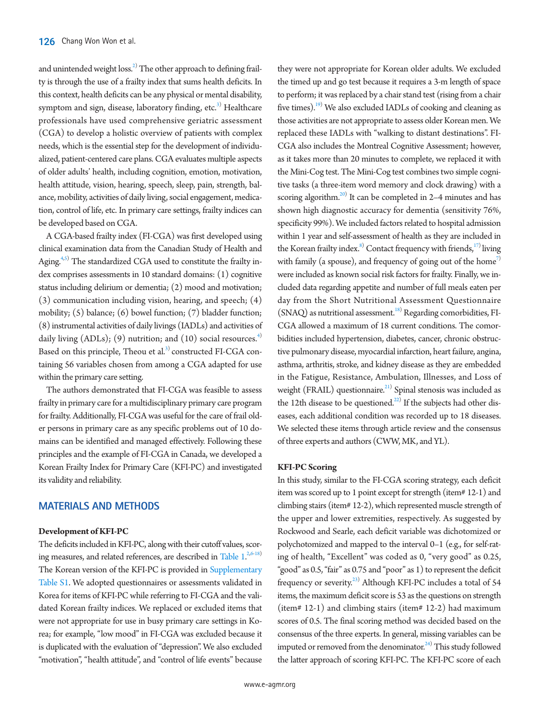and unintended weight  $loss.<sup>2)</sup>$  The other approach to defining frailty is through the use of a frailty index that sums health deficits. In this context, health deficits can be any physical or mental disability, symptom and sign, disease, laboratory finding, etc.<sup>3)</sup> Healthcare professionals have used comprehensive geriatric assessment (CGA) to develop a holistic overview of patients with complex needs, which is the essential step for the development of individualized, patient-centered care plans. CGA evaluates multiple aspects of older adults' health, including cognition, emotion, motivation, health attitude, vision, hearing, speech, sleep, pain, strength, balance, mobility, activities of daily living, social engagement, medication, control of life, etc. In primary care settings, frailty indices can be developed based on CGA.

A CGA-based frailty index (FI-CGA) was first developed using clinical examination data from the Canadian Study of Health and Aging.<sup>4,[5\)](#page-12-3)</sup> The standardized CGA used to constitute the frailty index comprises assessments in 10 standard domains: (1) cognitive status including delirium or dementia; (2) mood and motivation; (3) communication including vision, hearing, and speech; (4) mobility; (5) balance; (6) bowel function; (7) bladder function; (8) instrumental activities of daily livings (IADLs) and activities of daily living (ADLs); (9) nutrition; and (10) social resources.<sup>[4\)](#page-12-2)</sup> Based on this principle, Theou et al.<sup>3)</sup> constructed FI-CGA containing 56 variables chosen from among a CGA adapted for use within the primary care setting.

The authors demonstrated that FI-CGA was feasible to assess frailty in primary care for a multidisciplinary primary care program for frailty. Additionally, FI-CGA was useful for the care of frail older persons in primary care as any specific problems out of 10 domains can be identified and managed effectively. Following these principles and the example of FI-CGA in Canada, we developed a Korean Frailty Index for Primary Care (KFI-PC) and investigated its validity and reliability.

# **MATERIALS AND METHODS**

#### **Development of KFI-PC**

The deficits included in KFI-PC, along with their cutoff values, scoring measures, and related references, are described in Table  $1.^{2,6-18)}$  $1.^{2,6-18)}$  $1.^{2,6-18)}$  $1.^{2,6-18)}$  $1.^{2,6-18)}$  $1.^{2,6-18)}$ The Korean version of the KFI-PC is provided in Supplementary [Table S1.](#page-12-0) We adopted questionnaires or assessments validated in Korea for items of KFI-PC while referring to FI-CGA and the validated Korean frailty indices. We replaced or excluded items that were not appropriate for use in busy primary care settings in Korea; for example, "low mood" in FI-CGA was excluded because it is duplicated with the evaluation of "depression". We also excluded "motivation", "health attitude", and "control of life events" because

they were not appropriate for Korean older adults. We excluded the timed up and go test because it requires a 3-m length of space to perform; it was replaced by a chair stand test (rising from a chair five times).<sup>19</sup> We also excluded IADLs of cooking and cleaning as those activities are not appropriate to assess older Korean men. We replaced these IADLs with "walking to distant destinations". FI-CGA also includes the Montreal Cognitive Assessment; however, as it takes more than 20 minutes to complete, we replaced it with the Mini-Cog test. The Mini-Cog test combines two simple cognitive tasks (a three-item word memory and clock drawing) with a scoring algorithm.<sup>20)</sup> It can be completed in 2-4 minutes and has shown high diagnostic accuracy for dementia (sensitivity 76%, specificity 99%). We included factors related to hospital admission within 1 year and self-assessment of health as they are included in the Korean frailty index.<sup>[8](#page-12-8))</sup> Contact frequency with friends, $17$  living with family (a spouse), and frequency of going out of the home<sup>7)</sup> were included as known social risk factors for frailty. Finally, we included data regarding appetite and number of full meals eaten per day from the Short Nutritional Assessment Questionnaire (SNAQ) as nutritional assessment.<sup>18)</sup> Regarding comorbidities, FI-CGA allowed a maximum of 18 current conditions. The comorbidities included hypertension, diabetes, cancer, chronic obstructive pulmonary disease, myocardial infarction, heart failure, angina, asthma, arthritis, stroke, and kidney disease as they are embedded in the Fatigue, Resistance, Ambulation, Illnesses, and Loss of weight (FRAIL) questionnaire.<sup>21)</sup> Spinal stenosis was included as the 12th disease to be questioned.<sup>[22](#page-12-12))</sup> If the subjects had other diseases, each additional condition was recorded up to 18 diseases. We selected these items through article review and the consensus of three experts and authors (CWW, MK, and YL).

## **KFI-PC Scoring**

In this study, similar to the FI-CGA scoring strategy, each deficit item was scored up to 1 point except for strength (item# 12-1) and climbing stairs (item# 12-2), which represented muscle strength of the upper and lower extremities, respectively. As suggested by Rockwood and Searle, each deficit variable was dichotomized or polychotomized and mapped to the interval 0–1 (e.g., for self-rating of health, "Excellent" was coded as 0, "very good" as 0.25, "good" as 0.5, "fair" as 0.75 and "poor" as 1) to represent the deficit frequency or severity.<sup>[23\)](#page-12-13)</sup> Although KFI-PC includes a total of 54 items, the maximum deficit score is 53 as the questions on strength (item# 12-1) and climbing stairs (item# 12-2) had maximum scores of 0.5. The final scoring method was decided based on the consensus of the three experts. In general, missing variables can be imputed or removed from the denominator. $^{24)}$  This study followed the latter approach of scoring KFI-PC. The KFI-PC score of each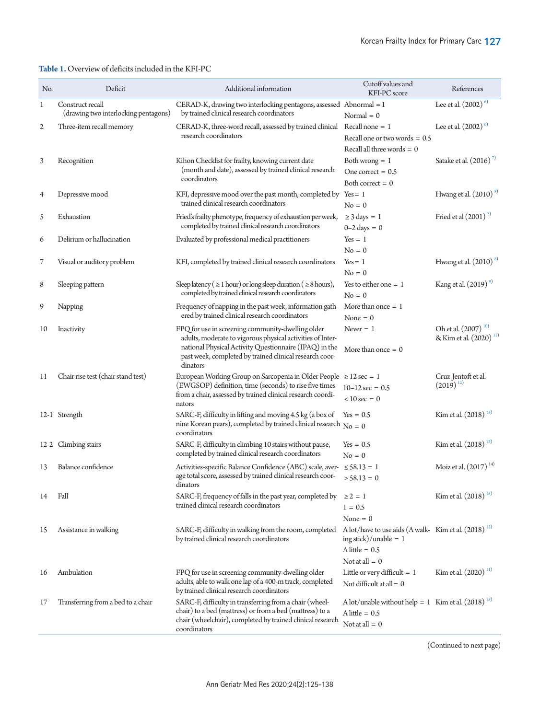# <span id="page-2-0"></span>**Table 1.** Overview of deficits included in the KFI-PC

| No.            | Deficit                                                  | Additional information                                                                                                                                                                                                                           | Cutoff values and<br>KFI-PC score                                                                                                    | References                                                            |
|----------------|----------------------------------------------------------|--------------------------------------------------------------------------------------------------------------------------------------------------------------------------------------------------------------------------------------------------|--------------------------------------------------------------------------------------------------------------------------------------|-----------------------------------------------------------------------|
| 1              | Construct recall<br>(drawing two interlocking pentagons) | CERAD-K, drawing two interlocking pentagons, assessed Abnormal = 1<br>by trained clinical research coordinators                                                                                                                                  | Normal $= 0$                                                                                                                         | Lee et al. $(2002)^{6}$                                               |
| $\overline{c}$ | Three-item recall memory                                 | CERAD-K, three-word recall, assessed by trained clinical Recall none = 1<br>research coordinators                                                                                                                                                | Recall one or two words $= 0.5$<br>Recall all three words $= 0$                                                                      | Lee et al. $(2002)^{6}$                                               |
| 3              | Recognition                                              | Kihon Checklist for frailty, knowing current date<br>(month and date), assessed by trained clinical research<br>coordinators                                                                                                                     | Both wrong $= 1$<br>One correct = $0.5$<br>Both correct $= 0$                                                                        | Satake et al. $(2016)^7$                                              |
| 4              | Depressive mood                                          | KFI, depressive mood over the past month, completed by<br>trained clinical research coordinators                                                                                                                                                 | $Yes = 1$<br>$No = 0$                                                                                                                | Hwang et al. $(2010)^{8}$                                             |
| 5              | Exhaustion                                               | Fried's frailty phenotype, frequency of exhaustion per week,<br>completed by trained clinical research coordinators                                                                                                                              | $\geq$ 3 days = 1<br>$0-2$ days = 0                                                                                                  | Fried et al $(2001)^2$                                                |
| 6              | Delirium or hallucination                                | Evaluated by professional medical practitioners                                                                                                                                                                                                  | $Yes = 1$<br>$No = 0$                                                                                                                |                                                                       |
| 7              | Visual or auditory problem                               | KFI, completed by trained clinical research coordinators                                                                                                                                                                                         | $Yes = 1$<br>$No = 0$                                                                                                                | Hwang et al. $(2010)^{8}$                                             |
| 8              | Sleeping pattern                                         | Sleep latency ( $\geq$ 1 hour) or long sleep duration ( $\geq$ 8 hours),<br>completed by trained clinical research coordinators                                                                                                                  | Yes to either one $= 1$<br>$No = 0$                                                                                                  | Kang et al. $(2019)^9$                                                |
| 9              | Napping                                                  | Frequency of napping in the past week, information gath-<br>ered by trained clinical research coordinators                                                                                                                                       | More than once $= 1$<br>None $= 0$                                                                                                   |                                                                       |
| 10             | Inactivity                                               | FPQ for use in screening community-dwelling older<br>adults, moderate to vigorous physical activities of Inter-<br>national Physical Activity Questionnaire (IPAQ) in the<br>past week, completed by trained clinical research coor-<br>dinators | Never $= 1$<br>More than once $= 0$                                                                                                  | Oh et al. (2007) <sup>10)</sup><br>& Kim et al. (2020) <sup>11)</sup> |
| 11             | Chair rise test (chair stand test)                       | European Working Group on Sarcopenia in Older People ≥ 12 sec = 1<br>(EWGSOP) definition, time (seconds) to rise five times<br>from a chair, assessed by trained clinical research coordi-<br>nators                                             | $10-12$ sec = 0.5<br>$< 10$ sec = 0                                                                                                  | Cruz-Jentoft et al.<br>$(2019)^{12}$                                  |
|                | 12-1 Strength                                            | SARC-F, difficulty in lifting and moving 4.5 kg (a box of<br>nine Korean pears), completed by trained clinical research $N_0 = 0$<br>coordinators                                                                                                | $Yes = 0.5$                                                                                                                          | Kim et al. $(2018)^{13}$                                              |
|                | 12-2 Climbing stairs                                     | SARC-F, difficulty in climbing 10 stairs without pause,<br>completed by trained clinical research coordinators                                                                                                                                   | $Yes = 0.5$<br>$No = 0$                                                                                                              | Kim et al. $(2018)^{13}$                                              |
| 13             | Balance confidence                                       | Activities-specific Balance Confidence (ABC) scale, aver- $\leq$ 58.13 = 1<br>age total score, assessed by trained clinical research coor-<br>dinators                                                                                           | $>$ 58.13 = 0                                                                                                                        | Moiz et al. (2017) <sup>14)</sup>                                     |
| 14             | Fall                                                     | SARC-F, frequency of falls in the past year, completed by<br>trained clinical research coordinators                                                                                                                                              | $\geq 2 = 1$<br>$1 = 0.5$<br>None $= 0$                                                                                              | Kim et al. $(2018)^{13}$                                              |
| 15             | Assistance in walking                                    | SARC-F, difficulty in walking from the room, completed<br>by trained clinical research coordinators                                                                                                                                              | A lot/have to use aids (A walk-Kim et al. $(2018)^{13}$ )<br>ing stick $)/$ unable = 1<br>$\text{Alittle} = 0.5$<br>Not at all $= 0$ |                                                                       |
| 16             | Ambulation                                               | FPQ for use in screening community-dwelling older<br>adults, able to walk one lap of a 400-m track, completed<br>by trained clinical research coordinators                                                                                       | Little or very difficult $= 1$<br>Not difficult at all $= 0$                                                                         | Kim et al. $(2020)^{11}$                                              |
| 17             | Transferring from a bed to a chair                       | SARC-F, difficulty in transferring from a chair (wheel-<br>chair) to a bed (mattress) or from a bed (mattress) to a<br>chair (wheelchair), completed by trained clinical research<br>coordinators                                                | A lot/unable without help = 1 Kim et al. $(2018)^{13}$<br>A little = 0.5<br>Not at all $= 0$                                         |                                                                       |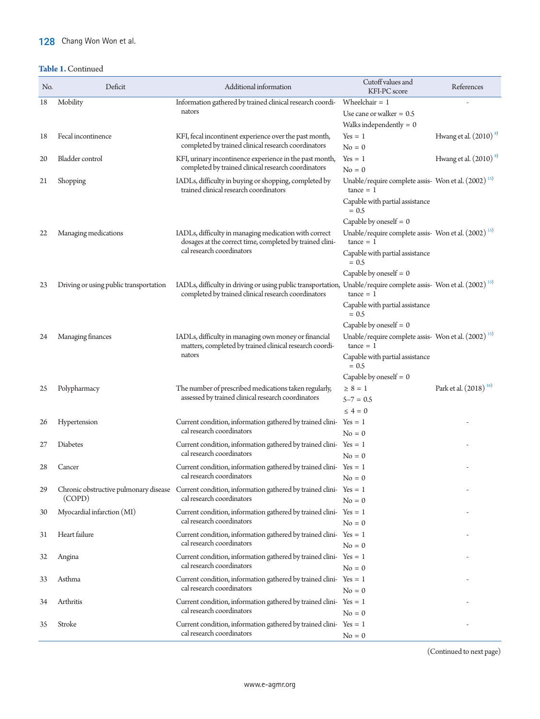# 128 Chang Won Won et al.

# **Table 1.** Continued

| No. | Deficit                                | Additional information                                                                                                                                                              | Cutoff values and<br>KFI-PC score                                              | References                        |
|-----|----------------------------------------|-------------------------------------------------------------------------------------------------------------------------------------------------------------------------------------|--------------------------------------------------------------------------------|-----------------------------------|
| 18  | Mobility                               | Information gathered by trained clinical research coordi-                                                                                                                           | Wheelchair $= 1$                                                               |                                   |
|     |                                        | nators                                                                                                                                                                              | Use cane or walker $= 0.5$                                                     |                                   |
|     |                                        |                                                                                                                                                                                     | Walks independently $= 0$                                                      |                                   |
| 18  | Fecal incontinence                     | KFI, fecal incontinent experience over the past month,                                                                                                                              | $Yes = 1$                                                                      | Hwang et al. $(2010)^{8}$         |
|     |                                        | completed by trained clinical research coordinators                                                                                                                                 | $No = 0$                                                                       |                                   |
| 20  | Bladder control                        | KFI, urinary incontinence experience in the past month,                                                                                                                             | $Yes = 1$                                                                      | Hwang et al. $(2010)^{8}$         |
|     |                                        | completed by trained clinical research coordinators                                                                                                                                 | $No = 0$                                                                       |                                   |
| 21  | Shopping                               | IADLs, difficulty in buying or shopping, completed by<br>trained clinical research coordinators                                                                                     | Unable/require complete assis- Won et al. (2002) <sup>15)</sup><br>$tance = 1$ |                                   |
|     |                                        |                                                                                                                                                                                     | Capable with partial assistance<br>$= 0.5$                                     |                                   |
|     |                                        |                                                                                                                                                                                     | Capable by oneself $= 0$                                                       |                                   |
| 22  | Managing medications                   | IADLs, difficulty in managing medication with correct<br>dosages at the correct time, completed by trained clini-                                                                   | Unable/require complete assis- Won et al. (2002) <sup>15)</sup><br>$tance = 1$ |                                   |
|     |                                        | cal research coordinators                                                                                                                                                           | Capable with partial assistance<br>$= 0.5$                                     |                                   |
|     |                                        |                                                                                                                                                                                     | Capable by oneself $= 0$                                                       |                                   |
| 23  | Driving or using public transportation | IADLs, difficulty in driving or using public transportation, Unable/require complete assis- Won et al. (2002) <sup>15)</sup><br>completed by trained clinical research coordinators | $tance = 1$                                                                    |                                   |
|     |                                        |                                                                                                                                                                                     | Capable with partial assistance<br>$= 0.5$                                     |                                   |
|     |                                        |                                                                                                                                                                                     | Capable by oneself $= 0$                                                       |                                   |
| 24  | Managing finances                      | IADLs, difficulty in managing own money or financial<br>matters, completed by trained clinical research coordi-<br>nators                                                           | Unable/require complete assis- Won et al. (2002) <sup>15)</sup><br>$tance = 1$ |                                   |
|     |                                        |                                                                                                                                                                                     | Capable with partial assistance<br>$= 0.5$                                     |                                   |
|     |                                        |                                                                                                                                                                                     | Capable by oneself $= 0$                                                       |                                   |
| 25  | Polypharmacy                           | The number of prescribed medications taken regularly,                                                                                                                               | $\geq 8 = 1$                                                                   | Park et al. (2018) <sup>16)</sup> |
|     |                                        | assessed by trained clinical research coordinators                                                                                                                                  | $5 - 7 = 0.5$                                                                  |                                   |
|     |                                        |                                                                                                                                                                                     | $\leq 4 = 0$                                                                   |                                   |
| 26  | Hypertension                           | Current condition, information gathered by trained clini- $Yes = 1$                                                                                                                 |                                                                                |                                   |
|     |                                        | cal research coordinators                                                                                                                                                           | $No = 0$                                                                       |                                   |
| 27  | Diabetes                               | Current condition, information gathered by trained clini-Yes = 1                                                                                                                    |                                                                                |                                   |
|     |                                        | cal research coordinators                                                                                                                                                           | $No = 0$                                                                       |                                   |
| 28  | Cancer                                 | Current condition, information gathered by trained clini- $Yes = 1$                                                                                                                 |                                                                                |                                   |
|     |                                        | cal research coordinators                                                                                                                                                           | $No = 0$                                                                       |                                   |
| 29  |                                        | Chronic obstructive pulmonary disease Current condition, information gathered by trained clini-Yes = 1                                                                              |                                                                                |                                   |
|     | (COPD)                                 | cal research coordinators                                                                                                                                                           | $No = 0$                                                                       |                                   |
| 30  | Myocardial infarction (MI)             | Current condition, information gathered by trained clini-Yes = 1                                                                                                                    |                                                                                |                                   |
|     |                                        | cal research coordinators                                                                                                                                                           | $No = 0$                                                                       |                                   |
| 31  | Heart failure                          | Current condition, information gathered by trained clini-Yes = 1                                                                                                                    |                                                                                |                                   |
|     |                                        | cal research coordinators                                                                                                                                                           | $No = 0$                                                                       |                                   |
| 32  | Angina                                 | Current condition, information gathered by trained clini-Yes = 1                                                                                                                    |                                                                                |                                   |
|     |                                        | cal research coordinators                                                                                                                                                           | $No = 0$                                                                       |                                   |
| 33  | Asthma                                 | Current condition, information gathered by trained clini-Yes = 1                                                                                                                    |                                                                                |                                   |
|     |                                        | cal research coordinators                                                                                                                                                           | $No = 0$                                                                       |                                   |
| 34  | Arthritis                              | Current condition, information gathered by trained clini-Yes = 1                                                                                                                    |                                                                                |                                   |
|     |                                        | cal research coordinators                                                                                                                                                           | $No = 0$                                                                       |                                   |
| 35  | Stroke                                 | Current condition, information gathered by trained clini-Yes = 1                                                                                                                    |                                                                                |                                   |
|     |                                        | cal research coordinators                                                                                                                                                           | $No = 0$                                                                       |                                   |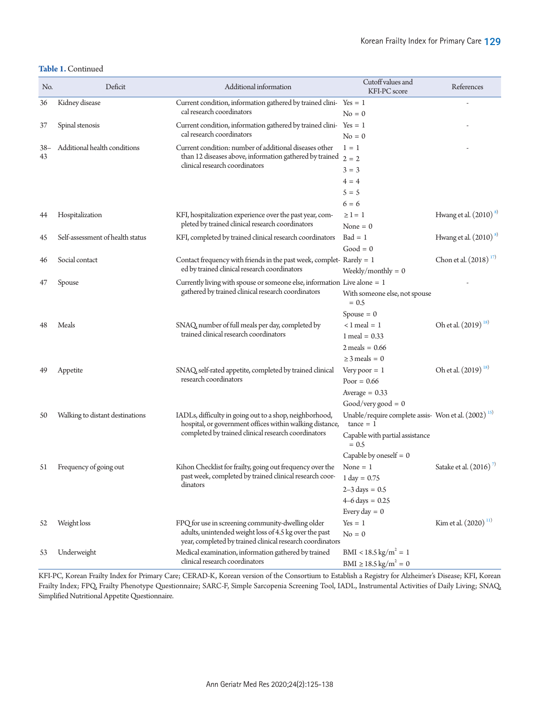| No.   | Deficit                          | Additional information                                                                                              | Cutoff values and<br>KFI-PC score                                              | References                       |
|-------|----------------------------------|---------------------------------------------------------------------------------------------------------------------|--------------------------------------------------------------------------------|----------------------------------|
| 36    | Kidney disease                   | Current condition, information gathered by trained clini-Yes = 1                                                    |                                                                                |                                  |
|       |                                  | cal research coordinators                                                                                           | $No = 0$                                                                       |                                  |
| 37    | Spinal stenosis                  | Current condition, information gathered by trained clini- $Yes = 1$                                                 |                                                                                |                                  |
|       |                                  | cal research coordinators                                                                                           | $No = 0$                                                                       |                                  |
| $38-$ | Additional health conditions     | Current condition: number of additional diseases other                                                              | $1 = 1$                                                                        |                                  |
| 43    |                                  | than 12 diseases above, information gathered by trained $2 = 2$<br>clinical research coordinators                   |                                                                                |                                  |
|       |                                  |                                                                                                                     | $3 = 3$                                                                        |                                  |
|       |                                  |                                                                                                                     | $4 = 4$                                                                        |                                  |
|       |                                  |                                                                                                                     | $5 = 5$                                                                        |                                  |
|       |                                  |                                                                                                                     | $6 = 6$                                                                        |                                  |
| 44    | Hospitalization                  | KFI, hospitalization experience over the past year, com-                                                            | $\geq$ 1 = 1                                                                   | Hwang et al. $(2010)^{8}$        |
|       |                                  | pleted by trained clinical research coordinators                                                                    | None $= 0$                                                                     |                                  |
| 45    | Self-assessment of health status | KFI, completed by trained clinical research coordinators                                                            | $Bad = 1$                                                                      | Hwang et al. $(2010)^{8}$        |
|       |                                  |                                                                                                                     | $Good = 0$                                                                     |                                  |
| 46    | Social contact                   | Contact frequency with friends in the past week, complet-Rarely = $1$                                               |                                                                                | Chon et al. $(2018)^{17}$        |
|       |                                  | ed by trained clinical research coordinators                                                                        | Weekly/monthly = $0$                                                           |                                  |
| 47    | Spouse                           | Currently living with spouse or someone else, information Live alone $= 1$                                          |                                                                                |                                  |
|       |                                  | gathered by trained clinical research coordinators                                                                  | With someone else, not spouse<br>$= 0.5$                                       |                                  |
|       |                                  |                                                                                                                     | $Spouse = 0$                                                                   |                                  |
| 48    | Meals                            | SNAQ, number of full meals per day, completed by<br>trained clinical research coordinators                          | $< 1$ meal = 1                                                                 | Oh et al. (2019) <sup>18)</sup>  |
|       |                                  |                                                                                                                     | $1$ meal = 0.33                                                                |                                  |
|       |                                  |                                                                                                                     | $2$ meals = $0.66$                                                             |                                  |
|       |                                  |                                                                                                                     | $\geq$ 3 meals = 0                                                             |                                  |
| 49    | Appetite                         | SNAQ, self-rated appetite, completed by trained clinical                                                            | Very poor $= 1$                                                                | Oh et al. (2019) <sup>18)</sup>  |
|       |                                  | research coordinators                                                                                               | Poor = $0.66$                                                                  |                                  |
|       |                                  |                                                                                                                     | Average $= 0.33$                                                               |                                  |
|       |                                  |                                                                                                                     | $Good/very good = 0$                                                           |                                  |
| 50    | Walking to distant destinations  | IADLs, difficulty in going out to a shop, neighborhood,<br>hospital, or government offices within walking distance, | Unable/require complete assis- Won et al. (2002) <sup>15)</sup><br>$tance = 1$ |                                  |
|       |                                  | completed by trained clinical research coordinators                                                                 | Capable with partial assistance<br>$= 0.5$                                     |                                  |
|       |                                  |                                                                                                                     | Capable by oneself $= 0$                                                       |                                  |
| 51    | Frequency of going out           | Kihon Checklist for frailty, going out frequency over the                                                           | None $= 1$                                                                     | Satake et al. $(2016)^7$         |
|       |                                  | past week, completed by trained clinical research coor-                                                             | $1 \text{ day} = 0.75$                                                         |                                  |
|       |                                  | dinators                                                                                                            | $2 - 3 \text{ days} = 0.5$                                                     |                                  |
|       |                                  |                                                                                                                     | $4 - 6$ days = 0.25                                                            |                                  |
|       |                                  |                                                                                                                     | Every day $= 0$                                                                |                                  |
| 52    | Weight loss                      | FPQ for use in screening community-dwelling older                                                                   | $Yes = 1$                                                                      | Kim et al. (2020) <sup>11)</sup> |
|       |                                  | adults, unintended weight loss of 4.5 kg over the past<br>year, completed by trained clinical research coordinators | $No = 0$                                                                       |                                  |
| 53    | Underweight                      | Medical examination, information gathered by trained                                                                | $BMI < 18.5 \text{ kg/m}^2 = 1$                                                |                                  |
|       |                                  | clinical research coordinators                                                                                      | $BMI \ge 18.5 \text{ kg/m}^2 = 0$                                              |                                  |

KFI-PC, Korean Frailty Index for Primary Care; CERAD-K, Korean version of the Consortium to Establish a Registry for Alzheimer's Disease; KFI, Korean Frailty Index; FPQ, Frailty Phenotype Questionnaire; SARC-F, Simple Sarcopenia Screening Tool, IADL, Instrumental Activities of Daily Living; SNAQ, Simplified Nutritional Appetite Questionnaire.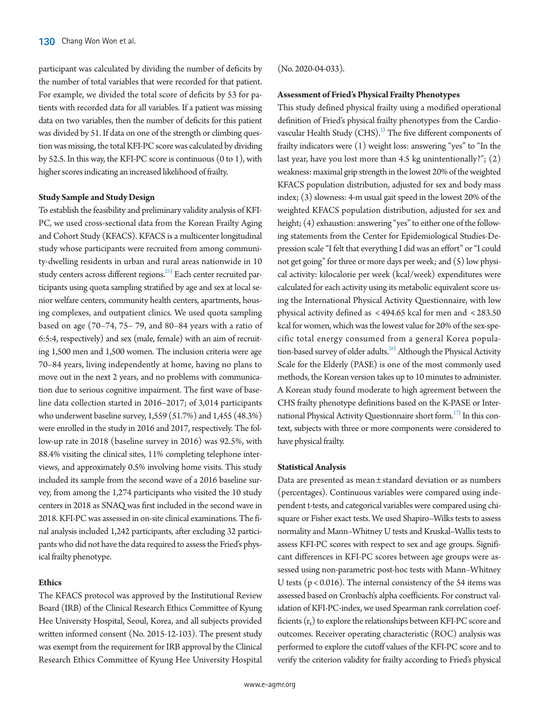participant was calculated by dividing the number of deficits by the number of total variables that were recorded for that patient. For example, we divided the total score of deficits by 53 for patients with recorded data for all variables. If a patient was missing data on two variables, then the number of deficits for this patient was divided by 51. If data on one of the strength or climbing question was missing, the total KFI-PC score was calculated by dividing by 52.5. In this way, the KFI-PC score is continuous (0 to 1), with higher scores indicating an increased likelihood of frailty.

## **Study Sample and Study Design**

To establish the feasibility and preliminary validity analysis of KFI-PC, we used cross-sectional data from the Korean Frailty Aging and Cohort Study (KFACS). KFACS is a multicenter longitudinal study whose participants were recruited from among community-dwelling residents in urban and rural areas nationwide in 10 study centers across different regions.<sup>25)</sup> Each center recruited participants using quota sampling stratified by age and sex at local senior welfare centers, community health centers, apartments, housing complexes, and outpatient clinics. We used quota sampling based on age (70–74, 75– 79, and 80–84 years with a ratio of 6:5:4, respectively) and sex (male, female) with an aim of recruiting 1,500 men and 1,500 women. The inclusion criteria were age 70–84 years, living independently at home, having no plans to move out in the next 2 years, and no problems with communication due to serious cognitive impairment. The first wave of baseline data collection started in 2016–2017; of 3,014 participants who underwent baseline survey, 1,559 (51.7%) and 1,455 (48.3%) were enrolled in the study in 2016 and 2017, respectively. The follow-up rate in 2018 (baseline survey in 2016) was 92.5%, with 88.4% visiting the clinical sites, 11% completing telephone interviews, and approximately 0.5% involving home visits. This study included its sample from the second wave of a 2016 baseline survey, from among the 1,274 participants who visited the 10 study centers in 2018 as SNAQ was first included in the second wave in 2018. KFI-PC was assessed in on-site clinical examinations. The final analysis included 1,242 participants, after excluding 32 participants who did not have the data required to assess the Fried's physical frailty phenotype.

### **Ethics**

The KFACS protocol was approved by the Institutional Review Board (IRB) of the Clinical Research Ethics Committee of Kyung Hee University Hospital, Seoul, Korea, and all subjects provided written informed consent (No. 2015-12-103). The present study was exempt from the requirement for IRB approval by the Clinical Research Ethics Committee of Kyung Hee University Hospital

### (No. 2020-04-033).

#### **Assessment of Fried's Physical Frailty Phenotypes**

This study defined physical frailty using a modified operational definition of Fried's physical frailty phenotypes from the Cardiovascular Health Study  $(CHS).^{2}$  The five different components of frailty indicators were (1) weight loss: answering "yes" to "In the last year, have you lost more than 4.5 kg unintentionally?"; (2) weakness: maximal grip strength in the lowest 20% of the weighted KFACS population distribution, adjusted for sex and body mass index; (3) slowness: 4-m usual gait speed in the lowest 20% of the weighted KFACS population distribution, adjusted for sex and height; (4) exhaustion: answering "yes" to either one of the following statements from the Center for Epidemiological Studies-Depression scale "I felt that everything I did was an effort" or "I could not get going" for three or more days per week; and (5) low physical activity: kilocalorie per week (kcal/week) expenditures were calculated for each activity using its metabolic equivalent score using the International Physical Activity Questionnaire, with low physical activity defined as < 494.65 kcal for men and < 283.50 kcal for women, which was the lowest value for 20% of the sex-specific total energy consumed from a general Korea population-based survey of older adults.<sup>26)</sup> Although the Physical Activity Scale for the Elderly (PASE) is one of the most commonly used methods, the Korean version takes up to 10 minutes to administer. A Korean study found moderate to high agreement between the CHS frailty phenotype definitions based on the K-PASE or International Physical Activity Questionnaire short form.<sup>27)</sup> In this context, subjects with three or more components were considered to have physical frailty.

#### **Statistical Analysis**

Data are presented as mean ± standard deviation or as numbers (percentages). Continuous variables were compared using independent t-tests, and categorical variables were compared using chisquare or Fisher exact tests. We used Shapiro–Wilks tests to assess normality and Mann–Whitney U tests and Kruskal–Wallis tests to assess KFI-PC scores with respect to sex and age groups. Significant differences in KFI-PC scores between age groups were assessed using non-parametric post-hoc tests with Mann–Whitney U tests ( $p < 0.016$ ). The internal consistency of the 54 items was assessed based on Cronbach's alpha coefficients. For construct validation of KFI-PC-index, we used Spearman rank correlation coefficients  $(r_s)$  to explore the relationships between KFI-PC score and outcomes. Receiver operating characteristic (ROC) analysis was performed to explore the cutoff values of the KFI-PC score and to verify the criterion validity for frailty according to Fried's physical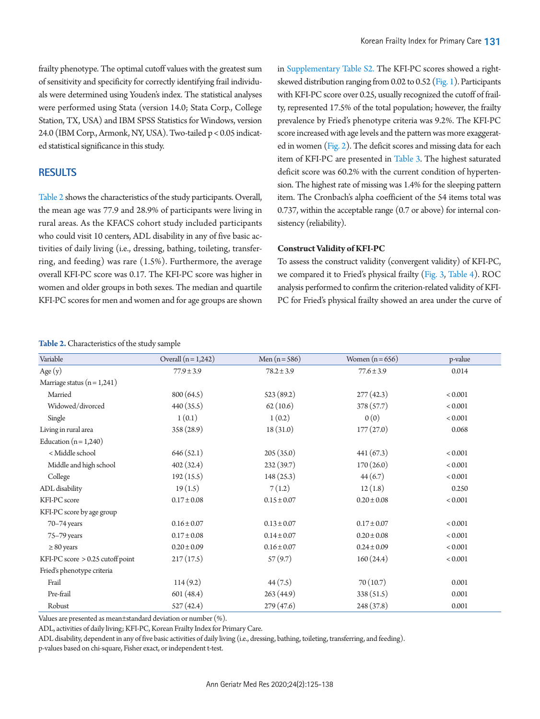frailty phenotype. The optimal cutoff values with the greatest sum of sensitivity and specificity for correctly identifying frail individuals were determined using Youden's index. The statistical analyses were performed using Stata (version 14.0; Stata Corp., College Station, TX, USA) and IBM SPSS Statistics for Windows, version 24.0 (IBM Corp., Armonk, NY, USA). Two-tailed p < 0.05 indicated statistical significance in this study.

# **RESULTS**

[Table 2](#page-6-0) shows the characteristics of the study participants. Overall, the mean age was 77.9 and 28.9% of participants were living in rural areas. As the KFACS cohort study included participants who could visit 10 centers, ADL disability in any of five basic activities of daily living (i.e., dressing, bathing, toileting, transferring, and feeding) was rare (1.5%). Furthermore, the average overall KFI-PC score was 0.17. The KFI-PC score was higher in women and older groups in both sexes. The median and quartile KFI-PC scores for men and women and for age groups are shown in [Supplementary Table S2.](#page-12-0) The KFI-PC scores showed a rightskewed distribution ranging from 0.02 to 0.52 [\(Fig. 1\)](#page-12-13). Participants with KFI-PC score over 0.25, usually recognized the cutoff of frailty, represented 17.5% of the total population; however, the frailty prevalence by Fried's phenotype criteria was 9.2%. The KFI-PC score increased with age levels and the pattern was more exaggerated in women [\(Fig. 2\)](#page-7-0). The deficit scores and missing data for each item of KFI-PC are presented in [Table 3.](#page-7-1) The highest saturated deficit score was 60.2% with the current condition of hypertension. The highest rate of missing was 1.4% for the sleeping pattern item. The Cronbach's alpha coefficient of the 54 items total was 0.737, within the acceptable range (0.7 or above) for internal consistency (reliability).

#### **Construct Validity of KFI-PC**

To assess the construct validity (convergent validity) of KFI-PC, we compared it to Fried's physical frailty [\(Fig. 3,](#page-10-0) [Table 4\)](#page-10-1). ROC analysis performed to confirm the criterion-related validity of KFI-PC for Fried's physical frailty showed an area under the curve of

#### <span id="page-6-0"></span>**Table 2.** Characteristics of the study sample

| Variable                         | Overall $(n = 1,242)$ | Men $(n = 586)$ | Women $(n=656)$ | p-value |
|----------------------------------|-----------------------|-----------------|-----------------|---------|
| Age $(y)$                        | $77.9 \pm 3.9$        | $78.2 \pm 3.9$  | $77.6 \pm 3.9$  | 0.014   |
| Marriage status $(n = 1,241)$    |                       |                 |                 |         |
| Married                          | 800 (64.5)            | 523(89.2)       | 277(42.3)       | < 0.001 |
| Widowed/divorced                 | 440 (35.5)            | 62(10.6)        | 378 (57.7)      | < 0.001 |
| Single                           | 1(0.1)                | 1(0.2)          | 0(0)            | < 0.001 |
| Living in rural area             | 358 (28.9)            | 18(31.0)        | 177(27.0)       | 0.068   |
| Education $(n=1,240)$            |                       |                 |                 |         |
| < Middle school                  | 646(52.1)             | 205(35.0)       | 441(67.3)       | < 0.001 |
| Middle and high school           | 402(32.4)             | 232(39.7)       | 170(26.0)       | < 0.001 |
| College                          | 192(15.5)             | 148(25.3)       | 44(6.7)         | < 0.001 |
| ADL disability                   | 19(1.5)               | 7(1.2)          | 12(1.8)         | 0.250   |
| KFI-PC score                     | $0.17 \pm 0.08$       | $0.15 \pm 0.07$ | $0.20 \pm 0.08$ | < 0.001 |
| KFI-PC score by age group        |                       |                 |                 |         |
| $70 - 74$ years                  | $0.16 \pm 0.07$       | $0.13 \pm 0.07$ | $0.17 \pm 0.07$ | < 0.001 |
| 75-79 years                      | $0.17 \pm 0.08$       | $0.14 \pm 0.07$ | $0.20 \pm 0.08$ | < 0.001 |
| $\geq 80$ years                  | $0.20 \pm 0.09$       | $0.16 \pm 0.07$ | $0.24 \pm 0.09$ | < 0.001 |
| KFI-PC score > 0.25 cutoff point | 217(17.5)             | 57(9.7)         | 160(24.4)       | < 0.001 |
| Fried's phenotype criteria       |                       |                 |                 |         |
| Frail                            | 114(9.2)              | 44(7.5)         | 70(10.7)        | 0.001   |
| Pre-frail                        | 601 (48.4)            | 263(44.9)       | 338(51.5)       | 0.001   |
| Robust                           | 527 (42.4)            | 279(47.6)       | 248 (37.8)      | 0.001   |

Values are presented as mean±standard deviation or number (%).

ADL, activities of daily living; KFI-PC, Korean Frailty Index for Primary Care.

ADL disability, dependent in any of five basic activities of daily living (i.e., dressing, bathing, toileting, transferring, and feeding). p-values based on chi-square, Fisher exact, or independent t-test.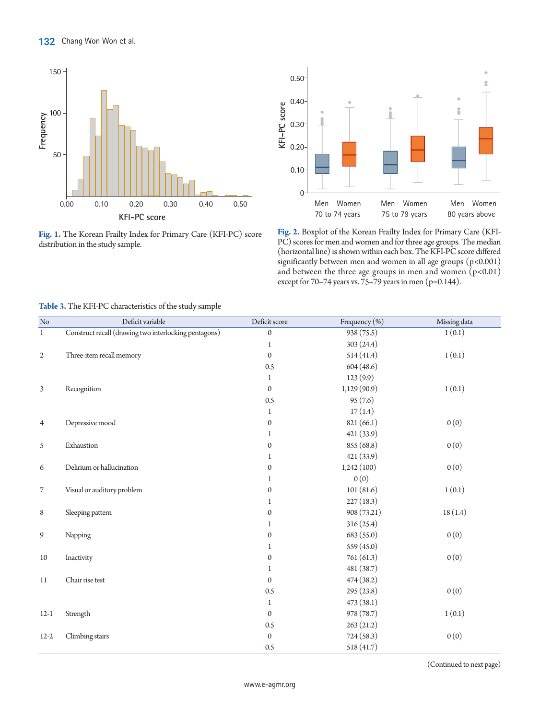

**Fig. 1.** The Korean Frailty Index for Primary Care (KFI-PC) score distribution in the study sample.

<span id="page-7-0"></span>

**Fig. 2.** Boxplot of the Korean Frailty Index for Primary Care (KFI-PC) scores for men and women and for three age groups. The median (horizontal line) is shown within each box. The KFI-PC score differed significantly between men and women in all age groups (p<0.001) and between the three age groups in men and women  $(p<0.01)$ except for 70-74 years vs. 75-79 years in men (p=0.144).

| $\rm No$       | Deficit variable                                      | Deficit score    | Frequency (%) | Missing data |
|----------------|-------------------------------------------------------|------------------|---------------|--------------|
| $\mathbf{1}$   | Construct recall (drawing two interlocking pentagons) | $\boldsymbol{0}$ | 938 (75.5)    | 1(0.1)       |
|                |                                                       | $\mathbf 1$      | 303(24.4)     |              |
| $\mathfrak{2}$ | Three-item recall memory                              | $\mathbf{0}$     | 514(41.4)     | 1(0.1)       |
|                |                                                       | 0.5              | 604(48.6)     |              |
|                |                                                       | 1                | 123(9.9)      |              |
| 3              | Recognition                                           | $\boldsymbol{0}$ | 1,129(90.9)   | 1(0.1)       |
|                |                                                       | 0.5              | 95(7.6)       |              |
|                |                                                       | 1                | 17(1.4)       |              |
| 4              | Depressive mood                                       | 0                | 821 (66.1)    | 0(0)         |
|                |                                                       | 1                | 421(33.9)     |              |
| 5              | Exhaustion                                            | $\boldsymbol{0}$ | 855 (68.8)    | 0(0)         |
|                |                                                       | 1                | 421(33.9)     |              |
| 6              | Delirium or hallucination                             | $\boldsymbol{0}$ | 1,242(100)    | 0(0)         |
|                |                                                       | 1                | 0(0)          |              |
| 7              | Visual or auditory problem                            | $\boldsymbol{0}$ | 101(81.6)     | 1(0.1)       |
|                |                                                       | $\mathbf{1}$     | 227(18.3)     |              |
| 8              | Sleeping pattern                                      | 0                | 908 (73.21)   | 18(1.4)      |
|                |                                                       | 1                | 316 (25.4)    |              |
| 9              | Napping                                               | 0                | 683 (55.0)    | 0(0)         |
|                |                                                       | 1                | 559 (45.0)    |              |
| 10             | Inactivity                                            | $\mathbf{0}$     | 761 (61.3)    | 0(0)         |
|                |                                                       | 1                | 481 (38.7)    |              |
| 11             | Chair rise test                                       | $\mathbf{0}$     | 474(38.2)     |              |
|                |                                                       | 0.5              | 295(23.8)     | 0(0)         |
|                |                                                       | $\mathbf 1$      | 473(38.1)     |              |
| $12-1$         | Strength                                              | $\Omega$         | 978 (78.7)    | 1(0.1)       |
|                |                                                       | 0.5              | 263(21.2)     |              |
| $12-2$         | Climbing stairs                                       | $\mathbf{0}$     | 724(58.3)     | 0(0)         |
|                |                                                       | 0.5              | 518(41.7)     |              |

# <span id="page-7-1"></span>**Table 3.** The KFI-PC characteristics of the study sample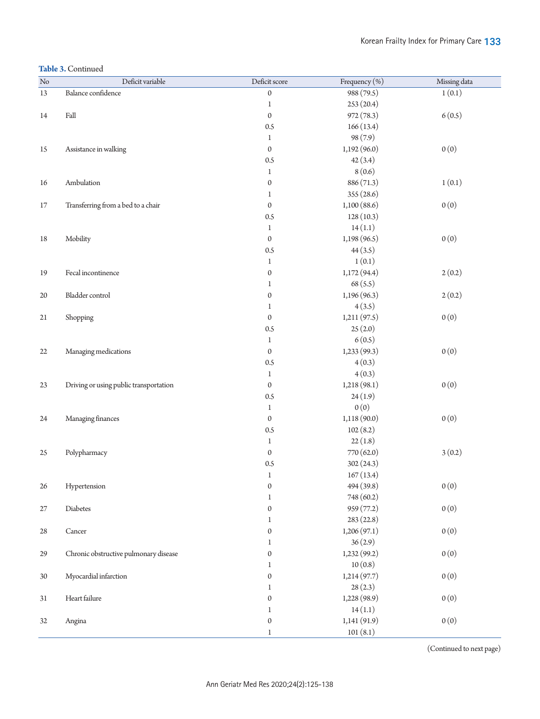## **Table 3.** Continued

| $\rm No$ | Deficit variable                       | Deficit score    | Frequency (%) | Missing data |
|----------|----------------------------------------|------------------|---------------|--------------|
| 13       | Balance confidence                     | $\boldsymbol{0}$ | 988 (79.5)    | 1(0.1)       |
|          |                                        | $\,1$            | 253(20.4)     |              |
| 14       | Fall                                   | $\boldsymbol{0}$ | 972 (78.3)    | 6(0.5)       |
|          |                                        | 0.5              | 166(13.4)     |              |
|          |                                        | $\mathbf{1}$     | 98 (7.9)      |              |
| 15       | Assistance in walking                  | $\mathbf{0}$     | 1,192(96.0)   | 0(0)         |
|          |                                        | 0.5              | 42(3.4)       |              |
|          |                                        | $\mathbf{1}$     | 8(0.6)        |              |
| 16       | Ambulation                             | $\boldsymbol{0}$ | 886 (71.3)    | 1(0.1)       |
|          |                                        | 1                | 355 (28.6)    |              |
| 17       | Transferring from a bed to a chair     | $\boldsymbol{0}$ | 1,100(88.6)   | 0(0)         |
|          |                                        | 0.5              | 128(10.3)     |              |
|          |                                        | $\mathbf{1}$     | 14(1.1)       |              |
| 18       | Mobility                               | $\mathbf{0}$     | 1,198(96.5)   | 0(0)         |
|          |                                        | 0.5              | 44(3.5)       |              |
|          |                                        | $\mathbf{1}$     | 1(0.1)        |              |
| 19       | Fecal incontinence                     | $\boldsymbol{0}$ | 1,172 (94.4)  | 2(0.2)       |
|          |                                        | $\mathbf 1$      | 68 (5.5)      |              |
| $20\,$   | Bladder control                        | $\boldsymbol{0}$ | 1,196 (96.3)  | 2(0.2)       |
|          |                                        | 1                | 4(3.5)        |              |
| 21       | Shopping                               | $\boldsymbol{0}$ | 1,211(97.5)   | 0(0)         |
|          |                                        | 0.5              | 25(2.0)       |              |
|          |                                        | $\mathbf{1}$     | 6(0.5)        |              |
| 22       | Managing medications                   | $\mathbf{0}$     | 1,233(99.3)   | 0(0)         |
|          |                                        | 0.5              | 4(0.3)        |              |
|          |                                        | $\mathbf{1}$     | 4(0.3)        |              |
| 23       | Driving or using public transportation | $\boldsymbol{0}$ | 1,218(98.1)   | 0(0)         |
|          |                                        | 0.5              | 24(1.9)       |              |
|          |                                        | $\mathbf{1}$     | 0(0)          |              |
| 24       | Managing finances                      | $\boldsymbol{0}$ | 1,118(90.0)   | 0(0)         |
|          |                                        | 0.5              | 102(8.2)      |              |
|          |                                        | $\mathbf{1}$     | 22(1.8)       |              |
| 25       | Polypharmacy                           | $\boldsymbol{0}$ | 770 (62.0)    | 3(0.2)       |
|          |                                        | 0.5              | 302(24.3)     |              |
|          |                                        | $\mathbf{1}$     | 167(13.4)     |              |
| 26       | Hypertension                           | $\boldsymbol{0}$ | 494 (39.8)    | 0(0)         |
|          |                                        | $\mathbf 1$      | 748 (60.2)    |              |
| 27       | Diabetes                               | $\boldsymbol{0}$ | 959 (77.2)    | 0(0)         |
|          |                                        | 1                | 283(22.8)     |              |
| 28       | Cancer                                 | $\boldsymbol{0}$ | 1,206(97.1)   | 0(0)         |
|          |                                        | 1                | 36(2.9)       |              |
| 29       | Chronic obstructive pulmonary disease  | $\boldsymbol{0}$ | 1,232(99.2)   | 0(0)         |
|          |                                        | 1                | 10(0.8)       |              |
| 30       | Myocardial infarction                  | $\boldsymbol{0}$ | 1,214(97.7)   | 0(0)         |
|          |                                        | 1                | 28(2.3)       |              |
| 31       | Heart failure                          | $\boldsymbol{0}$ | 1,228 (98.9)  | 0(0)         |
|          |                                        | $\mathbf 1$      | 14(1.1)       |              |
| 32       | Angina                                 | $\boldsymbol{0}$ | 1,141(91.9)   | 0(0)         |
|          |                                        | $\mathbf 1$      | 101(8.1)      |              |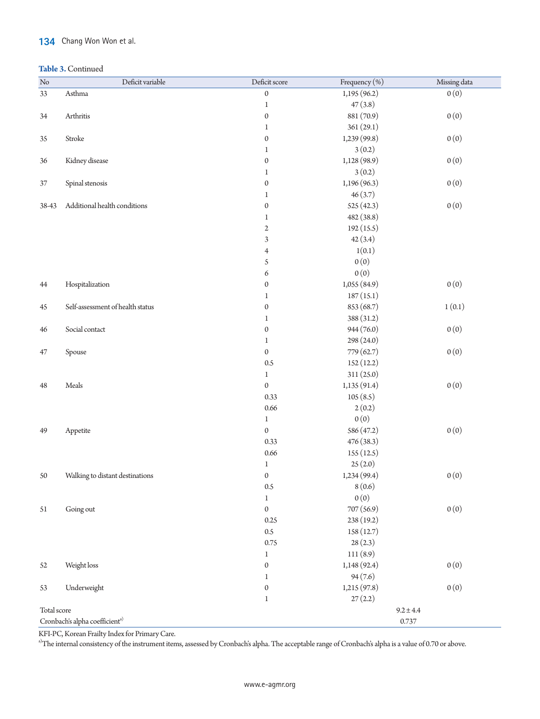# 134 Chang Won Won et al.

## **Table 3.** Continued

| $\rm No$    | Deficit variable                                    | Deficit score    | Frequency (%) | Missing data |  |
|-------------|-----------------------------------------------------|------------------|---------------|--------------|--|
| 33          | Asthma                                              | $\boldsymbol{0}$ | 1,195 (96.2)  | 0(0)         |  |
|             |                                                     | $\mathbf{1}$     | 47(3.8)       |              |  |
| 34          | Arthritis                                           | $\boldsymbol{0}$ | 881 (70.9)    | 0(0)         |  |
|             |                                                     | 1                | 361(29.1)     |              |  |
| 35          | Stroke                                              | $\boldsymbol{0}$ | 1,239 (99.8)  | 0(0)         |  |
|             |                                                     | 1                | 3(0.2)        |              |  |
| 36          | Kidney disease                                      | $\boldsymbol{0}$ | 1,128 (98.9)  | 0(0)         |  |
|             |                                                     | $\mathbf{1}$     | 3(0.2)        |              |  |
| 37          | Spinal stenosis                                     | $\boldsymbol{0}$ | 1,196 (96.3)  | 0(0)         |  |
|             |                                                     | $\mathbf{1}$     | 46(3.7)       |              |  |
| 38-43       | Additional health conditions                        | $\boldsymbol{0}$ | 525 (42.3)    | 0(0)         |  |
|             |                                                     | 1                | 482 (38.8)    |              |  |
|             |                                                     | $\sqrt{2}$       | 192(15.5)     |              |  |
|             |                                                     | 3                | 42(3.4)       |              |  |
|             |                                                     | $\overline{4}$   | 1(0.1)        |              |  |
|             |                                                     | 5                | 0(0)          |              |  |
|             |                                                     | 6                | 0(0)          |              |  |
| 44          | Hospitalization                                     | $\boldsymbol{0}$ | 1,055 (84.9)  | 0(0)         |  |
|             |                                                     | $\mathbf{1}$     | 187(15.1)     |              |  |
| 45          | Self-assessment of health status                    | $\boldsymbol{0}$ | 853 (68.7)    | 1(0.1)       |  |
|             |                                                     | 1                | 388 (31.2)    |              |  |
| 46          | Social contact                                      | $\boldsymbol{0}$ | 944 (76.0)    | 0(0)         |  |
|             |                                                     | $\mathbf{1}$     | 298 (24.0)    |              |  |
| 47          | Spouse                                              | $\boldsymbol{0}$ | 779 (62.7)    | 0(0)         |  |
|             |                                                     | 0.5              | 152(12.2)     |              |  |
|             |                                                     | $\mathbf{1}$     | 311 (25.0)    |              |  |
| 48          | $\operatorname{Meals}$                              | $\boldsymbol{0}$ | 1,135 (91.4)  | 0(0)         |  |
|             |                                                     | 0.33             | 105(8.5)      |              |  |
|             |                                                     | 0.66             | 2(0.2)        |              |  |
|             |                                                     | $\mathbf{1}$     | 0(0)          |              |  |
| 49          | Appetite                                            | $\boldsymbol{0}$ | 586 (47.2)    | 0(0)         |  |
|             |                                                     | 0.33             | 476 (38.3)    |              |  |
|             |                                                     | 0.66             | 155(12.5)     |              |  |
|             |                                                     | $\mathbf{1}$     | 25(2.0)       |              |  |
| 50          | Walking to distant destinations                     | $\boldsymbol{0}$ | 1,234 (99.4)  | 0(0)         |  |
|             |                                                     | $0.5\,$          | 8(0.6)        |              |  |
|             |                                                     | $\,1$            | 0(0)          |              |  |
| 51          | Going out                                           | $\boldsymbol{0}$ | 707 (56.9)    | 0(0)         |  |
|             |                                                     | 0.25             | 238 (19.2)    |              |  |
|             |                                                     | $0.5\,$          | 158 (12.7)    |              |  |
|             |                                                     | 0.75             | 28(2.3)       |              |  |
|             |                                                     | 1                | 111(8.9)      |              |  |
| 52          | Weight loss                                         | $\boldsymbol{0}$ | 1,148(92.4)   | 0(0)         |  |
|             |                                                     | 1                | 94(7.6)       |              |  |
| 53          | Underweight                                         | $\boldsymbol{0}$ | 1,215(97.8)   | 0(0)         |  |
|             |                                                     | 1                | 27(2.2)       |              |  |
| Total score |                                                     |                  | $9.2 \pm 4.4$ |              |  |
|             | Cronbach's alpha coefficient <sup>a)</sup><br>0.737 |                  |               |              |  |

KFI-PC, Korean Frailty Index for Primary Care.

<sup>a)</sup>The internal consistency of the instrument items, assessed by Cronbach's alpha. The acceptable range of Cronbach's alpha is a value of 0.70 or above.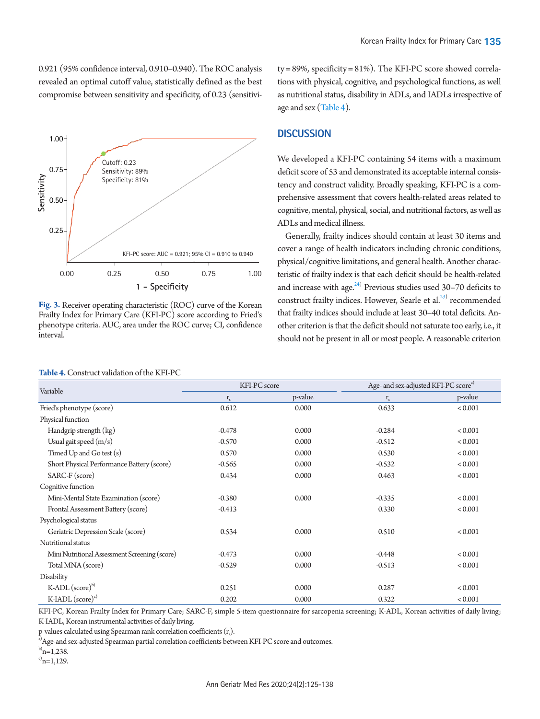0.921 (95% confidence interval, 0.910–0.940). The ROC analysis revealed an optimal cutoff value, statistically defined as the best compromise between sensitivity and specificity, of 0.23 (sensitivi-

<span id="page-10-0"></span>

**Fig. 3.** Receiver operating characteristic (ROC) curve of the Korean Frailty Index for Primary Care (KFI-PC) score according to Fried's phenotype criteria. AUC, area under the ROC curve; CI, confidence interval.

#### <span id="page-10-1"></span>**Table 4.** Construct validation of the KFI-PC

ty = 89%, specificity = 81%). The KFI-PC score showed correlations with physical, cognitive, and psychological functions, as well as nutritional status, disability in ADLs, and IADLs irrespective of age and sex [\(Table 4\)](#page-10-1).

# **DISCUSSION**

We developed a KFI-PC containing 54 items with a maximum deficit score of 53 and demonstrated its acceptable internal consistency and construct validity. Broadly speaking, KFI-PC is a comprehensive assessment that covers health-related areas related to cognitive, mental, physical, social, and nutritional factors, as well as ADLs and medical illness.

Generally, frailty indices should contain at least 30 items and cover a range of health indicators including chronic conditions, physical/cognitive limitations, and general health. Another characteristic of frailty index is that each deficit should be health-related and increase with age. $24$ ) Previous studies used 30-70 deficits to construct frailty indices. However, Searle et al.<sup>23)</sup> recommended that frailty indices should include at least 30–40 total deficits. Another criterion is that the deficit should not saturate too early, i.e., it should not be present in all or most people. A reasonable criterion

| Variable                                      | KFI-PC score |         | Age- and sex-adjusted KFI-PC score <sup>a)</sup> |             |
|-----------------------------------------------|--------------|---------|--------------------------------------------------|-------------|
|                                               | $r_{s}$      | p-value | $\mathbf{r}_\mathrm{s}$                          | p-value     |
| Fried's phenotype (score)                     | 0.612        | 0.000   | 0.633                                            | < 0.001     |
| Physical function                             |              |         |                                                  |             |
| Handgrip strength (kg)                        | $-0.478$     | 0.000   | $-0.284$                                         | < 0.001     |
| Usual gait speed $(m/s)$                      | $-0.570$     | 0.000   | $-0.512$                                         | < 0.001     |
| Timed Up and Go test (s)                      | 0.570        | 0.000   | 0.530                                            | < 0.001     |
| Short Physical Performance Battery (score)    | $-0.565$     | 0.000   | $-0.532$                                         | < 0.001     |
| SARC-F (score)                                | 0.434        | 0.000   | 0.463                                            | < 0.001     |
| Cognitive function                            |              |         |                                                  |             |
| Mini-Mental State Examination (score)         | $-0.380$     | 0.000   | $-0.335$                                         | < 0.001     |
| Frontal Assessment Battery (score)            | $-0.413$     |         | 0.330                                            | < 0.001     |
| Psychological status                          |              |         |                                                  |             |
| Geriatric Depression Scale (score)            | 0.534        | 0.000   | 0.510                                            | < 0.001     |
| Nutritional status                            |              |         |                                                  |             |
| Mini Nutritional Assessment Screening (score) | $-0.473$     | 0.000   | $-0.448$                                         | < 0.001     |
| Total MNA (score)                             | $-0.529$     | 0.000   | $-0.513$                                         | < 0.001     |
| Disability                                    |              |         |                                                  |             |
| K-ADL $(\text{score})^{\text{b}}$             | 0.251        | 0.000   | 0.287                                            | < 0.001     |
| K-IADL $(\text{score})^c$                     | 0.202        | 0.000   | 0.322                                            | ${}< 0.001$ |

KFI-PC, Korean Frailty Index for Primary Care; SARC-F, simple 5-item questionnaire for sarcopenia screening; K-ADL, Korean activities of daily living; K-IADL, Korean instrumental activities of daily living.

 $p$ -values calculated using Spearman rank correlation coefficients  $(r_{\rm s})$ .

 $^{\rm a)}$ Age-and sex-adjusted Spearman partial correlation coefficients between KFI-PC score and outcomes.

 $b)_{n=1,238}$ .

 $c)$ <sub>n=1,129</sub>.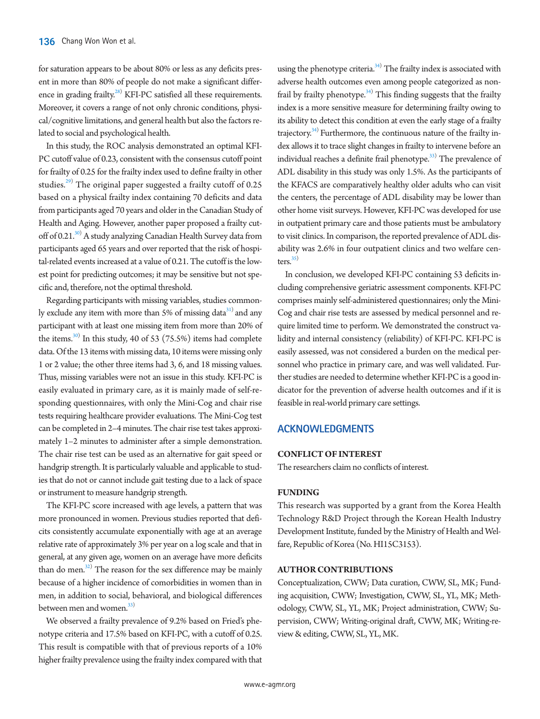for saturation appears to be about 80% or less as any deficits present in more than 80% of people do not make a significant differ-ence in grading frailty.<sup>[28](#page-13-1))</sup> KFI-PC satisfied all these requirements. Moreover, it covers a range of not only chronic conditions, physical/cognitive limitations, and general health but also the factors related to social and psychological health.

In this study, the ROC analysis demonstrated an optimal KFI-PC cutoff value of 0.23, consistent with the consensus cutoff point for frailty of 0.25 for the frailty index used to define frailty in other studies.<sup>[29](#page-13-2))</sup> The original paper suggested a frailty cutoff of 0.25 based on a physical frailty index containing 70 deficits and data from participants aged 70 years and older in the Canadian Study of Health and Aging. However, another paper proposed a frailty cutoff of 0.21.<sup>30)</sup> A study analyzing Canadian Health Survey data from participants aged 65 years and over reported that the risk of hospital-related events increased at a value of 0.21. The cutoff is the lowest point for predicting outcomes; it may be sensitive but not specific and, therefore, not the optimal threshold.

Regarding participants with missing variables, studies commonly exclude any item with more than 5% of missing data $31$  and any participant with at least one missing item from more than 20% of the items. $^{30)}$  In this study, 40 of 53 (75.5%) items had complete data. Of the 13 items with missing data, 10 items were missing only 1 or 2 value; the other three items had 3, 6, and 18 missing values. Thus, missing variables were not an issue in this study. KFI-PC is easily evaluated in primary care, as it is mainly made of self-responding questionnaires, with only the Mini-Cog and chair rise tests requiring healthcare provider evaluations. The Mini-Cog test can be completed in 2–4 minutes. The chair rise test takes approximately 1–2 minutes to administer after a simple demonstration. The chair rise test can be used as an alternative for gait speed or handgrip strength. It is particularly valuable and applicable to studies that do not or cannot include gait testing due to a lack of space or instrument to measure handgrip strength.

The KFI-PC score increased with age levels, a pattern that was more pronounced in women. Previous studies reported that deficits consistently accumulate exponentially with age at an average relative rate of approximately 3% per year on a log scale and that in general, at any given age, women on an average have more deficits than do men. $^{32)}$  $^{32)}$  $^{32)}$  The reason for the sex difference may be mainly because of a higher incidence of comorbidities in women than in men, in addition to social, behavioral, and biological differences between men and women.<sup>33)</sup>

We observed a frailty prevalence of 9.2% based on Fried's phenotype criteria and 17.5% based on KFI-PC, with a cutoff of 0.25. This result is compatible with that of previous reports of a 10% higher frailty prevalence using the frailty index compared with that

using the phenotype criteria.<sup>34)</sup> The frailty index is associated with adverse health outcomes even among people categorized as non-frail by frailty phenotype.<sup>[34](#page-13-5))</sup> This finding suggests that the frailty index is a more sensitive measure for determining frailty owing to its ability to detect this condition at even the early stage of a frailty trajectory.<sup>[34](#page-13-5))</sup> Furthermore, the continuous nature of the frailty index allows it to trace slight changes in frailty to intervene before an individual reaches a definite frail phenotype.<sup>[33](#page-13-4))</sup> The prevalence of ADL disability in this study was only 1.5%. As the participants of the KFACS are comparatively healthy older adults who can visit the centers, the percentage of ADL disability may be lower than other home visit surveys. However, KFI-PC was developed for use in outpatient primary care and those patients must be ambulatory to visit clinics. In comparison, the reported prevalence of ADL disability was 2.6% in four outpatient clinics and two welfare centers. $35)$  $35)$ 

In conclusion, we developed KFI-PC containing 53 deficits including comprehensive geriatric assessment components. KFI-PC comprises mainly self-administered questionnaires; only the Mini-Cog and chair rise tests are assessed by medical personnel and require limited time to perform. We demonstrated the construct validity and internal consistency (reliability) of KFI-PC. KFI-PC is easily assessed, was not considered a burden on the medical personnel who practice in primary care, and was well validated. Further studies are needed to determine whether KFI-PC is a good indicator for the prevention of adverse health outcomes and if it is feasible in real-world primary care settings.

## **ACKNOWLEDGMENTS**

## **CONFLICT OF INTEREST**

The researchers claim no conflicts of interest.

#### **FUNDING**

This research was supported by a grant from the Korea Health Technology R&D Project through the Korean Health Industry Development Institute, funded by the Ministry of Health and Welfare, Republic of Korea (No. HI15C3153).

## **AUTHOR CONTRIBUTIONS**

Conceptualization, CWW; Data curation, CWW, SL, MK; Funding acquisition, CWW; Investigation, CWW, SL, YL, MK; Methodology, CWW, SL, YL, MK; Project administration, CWW; Supervision, CWW; Writing-original draft, CWW, MK; Writing-review & editing, CWW, SL, YL, MK.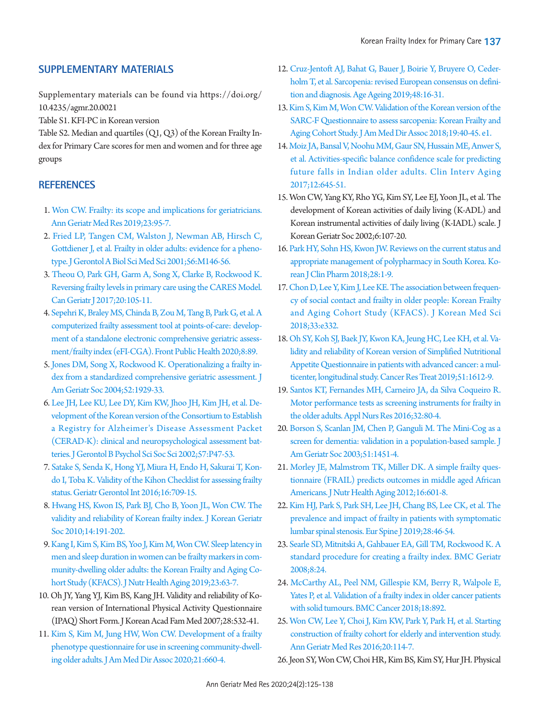# <span id="page-12-0"></span>**SUPPLEMENTARY MATERIALS**

[Supplementary materials can be found via https://doi.org/](https://doi.org/10.4235/agmr.20.0021) [10.4235/agmr.20.0021](https://doi.org/10.4235/agmr.20.0021)

Table S1. KFI-PC in Korean version

[Table S2. Median and quartiles \(Q1, Q3\) of the Korean Frailty In](https://www.e-agmr.org/upload/media/agmr-20-0021-suppl.pdf)[dex for Primary Care scores for men and women and for three age](https://www.e-agmr.org/upload/media/agmr-20-0021-suppl.pdf)  [groups](https://www.e-agmr.org/upload/media/agmr-20-0021-suppl.pdf)

# <span id="page-12-2"></span>**REFERENCES**

- <span id="page-12-1"></span>1. [Won CW. Frailty: its scope and implications for geriatricians.](https://doi.org/10.4235/agmr.19.0032)  [Ann Geriatr Med Res 2019;23:95-7](https://doi.org/10.4235/agmr.19.0032).
- <span id="page-12-15"></span>2. [Fried LP, Tangen CM, Walston J, Newman AB, Hirsch C,](https://doi.org/10.1093/gerona/56.3.M146)  [Gottdiener J, et al. Frailty in older adults: evidence for a pheno](https://doi.org/10.1093/gerona/56.3.M146)[type. J Gerontol A Biol Sci Med Sci 2001;56:M146-56.](https://doi.org/10.1093/gerona/56.3.M146)
- 3. [Theou O, Park GH, Garm A, Song X, Clarke B, Rockwood K.](https://doi.org/10.5770/cgj.20.274)  [Reversing frailty levels in primary care using the CARES Model.](https://doi.org/10.5770/cgj.20.274)  [Can Geriatr J 2017;20:105-11.](https://doi.org/10.5770/cgj.20.274)
- 4. [Sepehri K, Braley MS, Chinda B, Zou M, Tang B, Park G, et al. A](https://doi.org/10.3389/fpubh.2020.00089)  [computerized frailty assessment tool at points-of-care: develop](https://doi.org/10.3389/fpubh.2020.00089)[ment of a standalone electronic comprehensive geriatric assess](https://doi.org/10.3389/fpubh.2020.00089)[ment/frailty index \(eFI-CGA\). Front Public](https://doi.org/10.3389/fpubh.2020.00089) Health 2020;8:89.
- <span id="page-12-3"></span>[5. Jones DM, Song X, Rockwood K. Operationalizing a frailty in](https://doi.org/10.1111/j.1532-5415.2004.52521.x)[dex from a standardized comprehensive geriatric assessment. J](https://doi.org/10.1111/j.1532-5415.2004.52521.x)  [Am Geriatr Soc 2004;52:1929-33](https://doi.org/10.1111/j.1532-5415.2004.52521.x).
- <span id="page-12-4"></span>[6. Lee JH, Lee KU, Lee DY, Kim KW, Jhoo JH, Kim JH, et al. De](https://doi.org/10.1093/geronb/57.1.P47)[velopment of the Korean version of the Consortium to Establish](https://doi.org/10.1093/geronb/57.1.P47)  [a Registry for Alzheimer's Disease Assessment Packet](https://doi.org/10.1093/geronb/57.1.P47)  [\(CERAD-K\): clinical and neuropsychological assessmen](https://doi.org/10.1093/geronb/57.1.P47)t batteries. J Gerontol B Psychol Sci Soc Sci 2002;57:P47-53.
- <span id="page-12-10"></span>[7. Satake S, Senda K, Hong YJ, Miura H, Endo H, Sakurai T, Kon](https://doi.org/10.1111/ggi.12543)[do I, Toba K. Validity of the Kihon Checklist for assessing frailty](https://doi.org/10.1111/ggi.12543)  [status. Geriatr Gerontol Int 2016;16:709-15](https://doi.org/10.1111/ggi.12543).
- <span id="page-12-8"></span>[8. Hwang HS, Kwon IS, Park BJ, Cho B, Yoon JL, Won CW. The](https://doi.org/10.4235/jkgs.2010.14.4.191)  [validity and reliability of Korean frailty index. J Korean Geriatr](https://doi.org/10.4235/jkgs.2010.14.4.191)  [Soc 2010;14:191-202.](https://doi.org/10.4235/jkgs.2010.14.4.191)
- <span id="page-12-16"></span>[9. Kang I, Kim S, Kim BS, Yoo J, Kim M, Won CW. Sleep latency in](https://doi.org/10.1007/s12603-018-1109-2)  [men and sleep duration in women can be frailty markers in com](https://doi.org/10.1007/s12603-018-1109-2)[munity-dwelling older adults: the Korean Frailty and Aging Co](https://doi.org/10.1007/s12603-018-1109-2)[hort Study \(KFACS\). J Nutr Health Agin](https://doi.org/10.1007/s12603-018-1109-2)g 2019;23:63-7.
- <span id="page-12-17"></span>10. Oh JY, Yang YJ, Kim BS, Kang JH. Validity and reliability of Korean version of International Physical Activity Questionnaire (IPAQ) Short Form. J Korean Acad Fam Med 2007;28:532-41.
- <span id="page-12-18"></span>1[1. Kim S, Kim M, Jung HW, Won CW. Development of a frailty](https://doi.org/10.1016/j.jamda.2019.08.028)  [phenotype questionnaire for use in screening community-dwell](https://doi.org/10.1016/j.jamda.2019.08.028)[ing older adults. J Am Med Dir Assoc 2020;21:660-4.](https://doi.org/10.1016/j.jamda.2019.08.028)
- <span id="page-12-19"></span>12[. Cruz-Jentoft AJ, Bahat G, Bauer J, Boirie Y, Bruyere O, Ceder](https://doi.org/10.1093/ageing/afy169)[holm T, et al. Sarcopenia: revised European consensus on defini](https://doi.org/10.1093/ageing/afy169)[tion and diagnosis. Age Ageing 2019;48:16-31.](https://doi.org/10.1093/ageing/afy169)
- <span id="page-12-20"></span>13[. Kim S, Kim M, Won CW. Validation of the Korean version of the](https://doi.org/10.1016/j.jamda.2017.07.006)  [SARC-F Questionnaire to assess sarcopenia: Korean Frailty and](https://doi.org/10.1016/j.jamda.2017.07.006)  [Aging Cohort Study. J Am Med Dir Assoc 2018;19:40-45. e1](https://doi.org/10.1016/j.jamda.2017.07.006).
- 14. [Moiz JA, Bansal V, Noohu MM, Gaur SN, Hussain ME, Anwer S,](https://doi.org/10.2147/CIA.S133523)  [et al. Activities-specific balance confidence scale for predicting](https://doi.org/10.2147/CIA.S133523)  [future falls in Indian older adults. Clin Interv Aging](https://doi.org/10.2147/CIA.S133523)  [2017;12:645-51.](https://doi.org/10.2147/CIA.S133523)
- <span id="page-12-5"></span>15. Won CW, Yang KY, Rho YG, Kim SY, Lee EJ, Yoon JL, et al. The development of Korean activities of daily living (K-ADL) and Korean instrumental activities of daily living (K-IADL) scale. J Korean Geriatr Soc 2002;6:107-20.
- <span id="page-12-21"></span>16. [Park HY, Sohn HS, Kwon JW. Reviews on the current status and](https://doi.org/10.24304/kjcp.2018.28.1.1)  [appropriate management of polypharmacy in South Korea. Ko](https://doi.org/10.24304/kjcp.2018.28.1.1)[rean J Clin Pharm 2018;28:1-9.](https://doi.org/10.24304/kjcp.2018.28.1.1)
- <span id="page-12-9"></span>1[7. Chon D, Lee Y, Kim J, Lee KE. The association between frequen](https://doi.org/10.3346/jkms.2018.33.e332)[cy of social contact and frailty in older people: Korean Frailty](https://doi.org/10.3346/jkms.2018.33.e332)  [and Aging Cohort Study \(KFACS\). J Korean Med Sci](https://doi.org/10.3346/jkms.2018.33.e332)  [2018;33:e332.](https://doi.org/10.3346/jkms.2018.33.e332)
- <span id="page-12-22"></span>18. [Oh SY, Koh SJ, Baek JY, Kwon KA, Jeung HC, Lee KH, et al. Va](https://doi.org/10.4143/crt.2018.505)[lidity and reliability of Korean version of Simplified Nutritional](https://doi.org/10.4143/crt.2018.505)  [Appetite Questionnaire in patients with advanced cancer: a mul](https://doi.org/10.4143/crt.2018.505)[ticenter, longitudinal study. Cancer Res Treat](https://doi.org/10.4143/crt.2018.505) 2019;51:1612-9.
- <span id="page-12-6"></span>19[. Santos KT, Fernandes MH, Carneiro JA, da Silva Coqueiro R.](https://doi.org/10.1016/j.apnr.2016.06.003)  [Motor performance tests as screening instruments for frailty in](https://doi.org/10.1016/j.apnr.2016.06.003)  [the older adults. Appl Nurs Res 2016;32:80-4](https://doi.org/10.1016/j.apnr.2016.06.003).
- <span id="page-12-7"></span>20[. Borson S, Scanlan JM, Chen P, Ganguli M. The Mini-Cog as a](https://doi.org/10.1046/j.1532-5415.2003.51465.x)  [screen for dementia: validation in a population-based sample. J](https://doi.org/10.1046/j.1532-5415.2003.51465.x)  [Am Geriatr Soc 2003;51:1451-4.](https://doi.org/10.1046/j.1532-5415.2003.51465.x)
- <span id="page-12-11"></span>21[. Morley JE, Malmstrom TK, Miller DK. A simple frailty ques](https://doi.org/10.1007/s12603-012-0084-2)[tionnaire \(FRAIL\) predicts outcomes in middle aged African](https://doi.org/10.1007/s12603-012-0084-2)  [Americans. J Nutr Health Aging 2012;16:601-8](https://doi.org/10.1007/s12603-012-0084-2).
- <span id="page-12-12"></span>22[. Kim HJ, Park S, Park SH, Lee JH, Chang BS, Lee CK, et al. The](https://doi.org/10.1007/s00586-018-5710-1)  [prevalence and impact of frailty in patients with symptomatic](https://doi.org/10.1007/s00586-018-5710-1)  [lumbar spinal stenosis. Eur Spine J 2019;28:46-54.](https://doi.org/10.1007/s00586-018-5710-1)
- <span id="page-12-14"></span><span id="page-12-13"></span>23. Searle SD, Mitnitski A, Gahbauer EA, Gill TM, Rockwood K. A standard p[rocedure for creating a frailty index. BMC Geriatr](https://doi.org/10.1186/1471-2318-8-24)  [2008;8:24.](https://doi.org/10.1186/1471-2318-8-24)
- 24. [McCarthy AL, Peel NM, Gillespie KM, Berry R, Walpole E,](https://doi.org/10.1186/s12885-018-4807-6)  [Yates P, et al. Validation of a frailty index in older cancer patients](https://doi.org/10.1186/s12885-018-4807-6)  [with solid tumours. BMC Cancer 2018;18:892.](https://doi.org/10.1186/s12885-018-4807-6)
- <span id="page-12-23"></span>25. [Won CW, Lee Y, Choi J, Kim KW, Park Y, Park H, et al. Starting](https://doi.org/10.4235/agmr.2016.20.3.114)  [construction of frailty cohort for elderly and intervention study.](https://doi.org/10.4235/agmr.2016.20.3.114)  [Ann Geriatr Med Res 2016;20:114-7.](https://doi.org/10.4235/agmr.2016.20.3.114)
- <span id="page-12-24"></span>26. Jeon SY, Won CW, Choi HR, Kim BS, Kim SY, Hur JH. Physical